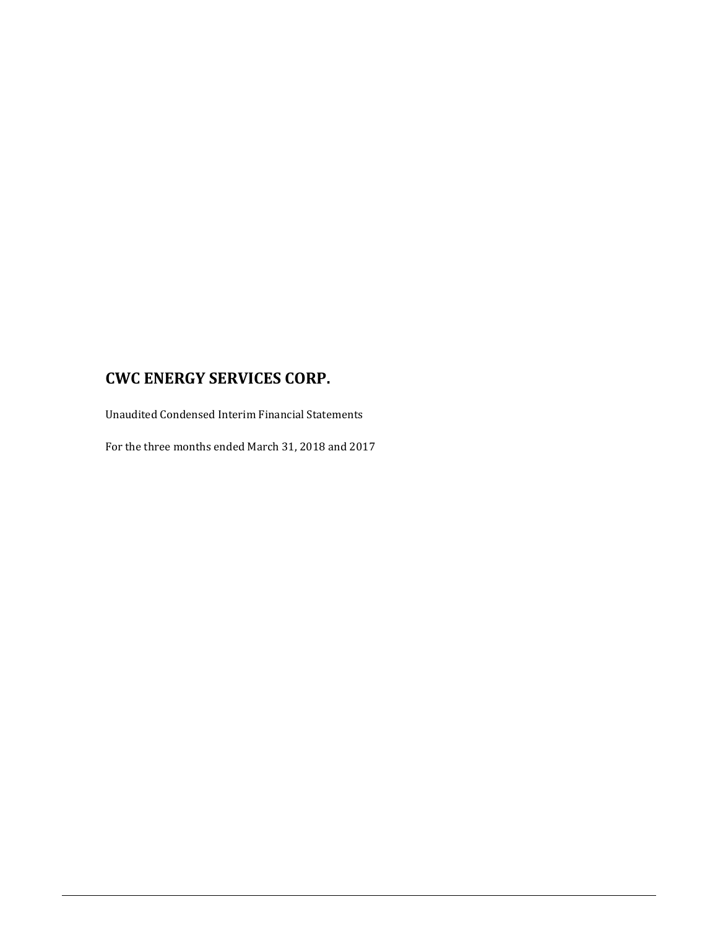Unaudited Condensed Interim Financial Statements

For the three months ended March 31, 2018 and 2017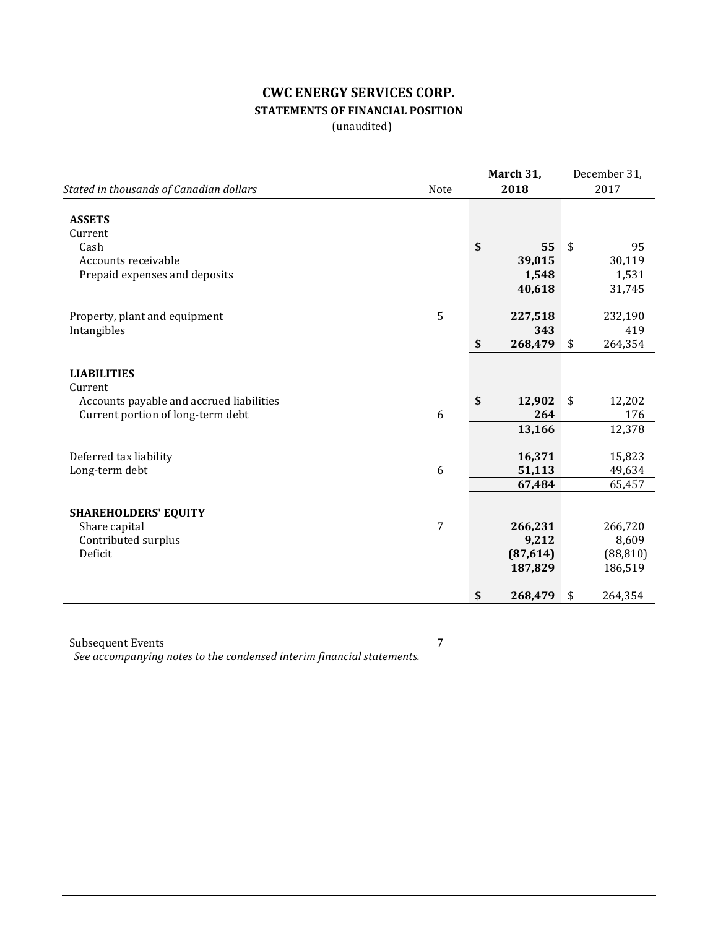# **CWC ENERGY SERVICES CORP. STATEMENTS OF FINANCIAL POSITION**

(unaudited)

|                                          |                | March 31,     |                            | December 31, |
|------------------------------------------|----------------|---------------|----------------------------|--------------|
| Stated in thousands of Canadian dollars  | Note           | 2018          |                            | 2017         |
| <b>ASSETS</b>                            |                |               |                            |              |
| Current                                  |                |               |                            |              |
| Cash                                     |                | \$<br>55      | $\boldsymbol{\mathsf{\$}}$ | 95           |
| Accounts receivable                      |                | 39,015        |                            | 30,119       |
| Prepaid expenses and deposits            |                | 1,548         |                            | 1,531        |
|                                          |                | 40,618        |                            | 31,745       |
|                                          |                |               |                            |              |
| Property, plant and equipment            | 5              | 227,518       |                            | 232,190      |
| Intangibles                              |                | 343           |                            | 419          |
|                                          |                | \$<br>268,479 | \$                         | 264,354      |
|                                          |                |               |                            |              |
| <b>LIABILITIES</b>                       |                |               |                            |              |
| Current                                  |                |               |                            |              |
| Accounts payable and accrued liabilities |                | \$<br>12,902  | $\sqrt{2}$                 | 12,202       |
| Current portion of long-term debt        | 6              | 264           |                            | 176          |
|                                          |                | 13,166        |                            | 12,378       |
|                                          |                |               |                            |              |
| Deferred tax liability                   |                | 16,371        |                            | 15,823       |
| Long-term debt                           | 6              | 51,113        |                            | 49,634       |
|                                          |                | 67,484        |                            | 65,457       |
|                                          |                |               |                            |              |
| <b>SHAREHOLDERS' EQUITY</b>              |                |               |                            |              |
| Share capital                            | $\overline{7}$ | 266,231       |                            | 266,720      |
| Contributed surplus                      |                | 9,212         |                            | 8,609        |
| Deficit                                  |                | (87, 614)     |                            | (88, 810)    |
|                                          |                | 187,829       |                            | 186,519      |
|                                          |                |               |                            |              |
|                                          |                | \$<br>268,479 | \$                         | 264,354      |

Subsequent Events 7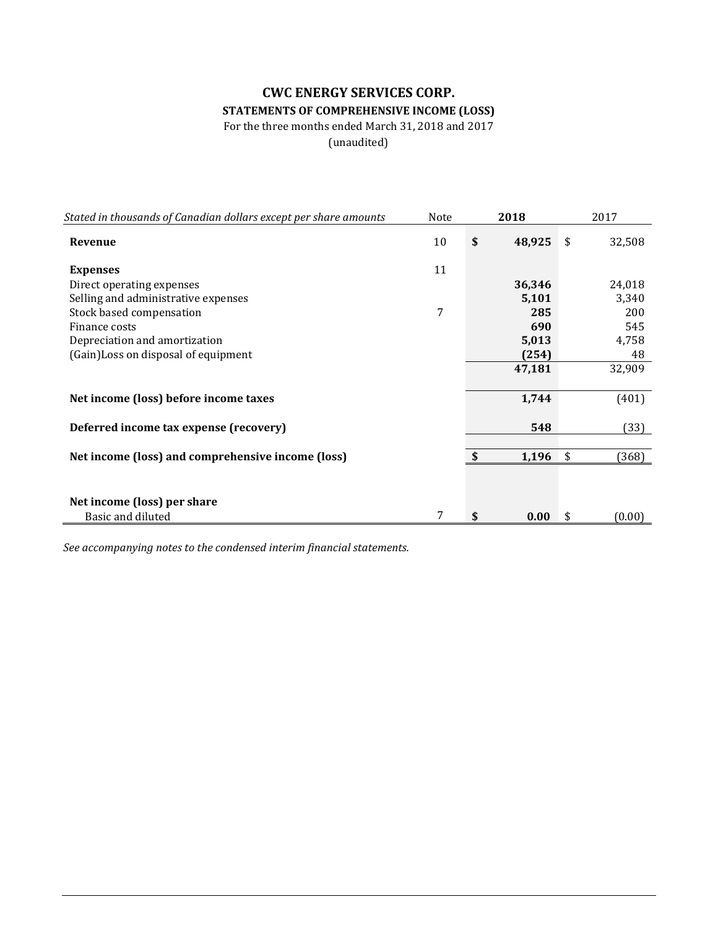## **CWC ENERGY SERVICES CORP. STATEMENTS OF COMPREHENSIVE INCOME (LOSS)**

For the three months ended March 31, 2018 and 2017

(unaudited)

| Stated in thousands of Canadian dollars except per share amounts | Note | 2018         | 2017         |
|------------------------------------------------------------------|------|--------------|--------------|
| Revenue                                                          | 10   | \$<br>48,925 | \$<br>32,508 |
| <b>Expenses</b>                                                  | 11   |              |              |
| Direct operating expenses                                        |      | 36,346       | 24,018       |
| Selling and administrative expenses                              |      | 5,101        | 3,340        |
| Stock based compensation                                         | 7    | 285          | 200          |
| Finance costs                                                    |      | 690          | 545          |
| Depreciation and amortization                                    |      | 5,013        | 4,758        |
| (Gain) Loss on disposal of equipment                             |      | (254)        | 48           |
|                                                                  |      | 47,181       | 32,909       |
| Net income (loss) before income taxes                            |      | 1,744        | (401)        |
| Deferred income tax expense (recovery)                           |      | 548          | (33)         |
|                                                                  |      |              |              |
| Net income (loss) and comprehensive income (loss)                |      | \$<br>1,196  | \$<br>(368)  |
|                                                                  |      |              |              |
| Net income (loss) per share                                      |      |              |              |
| Basic and diluted                                                | 7    | \$<br>0.00   | \$<br>(0.00) |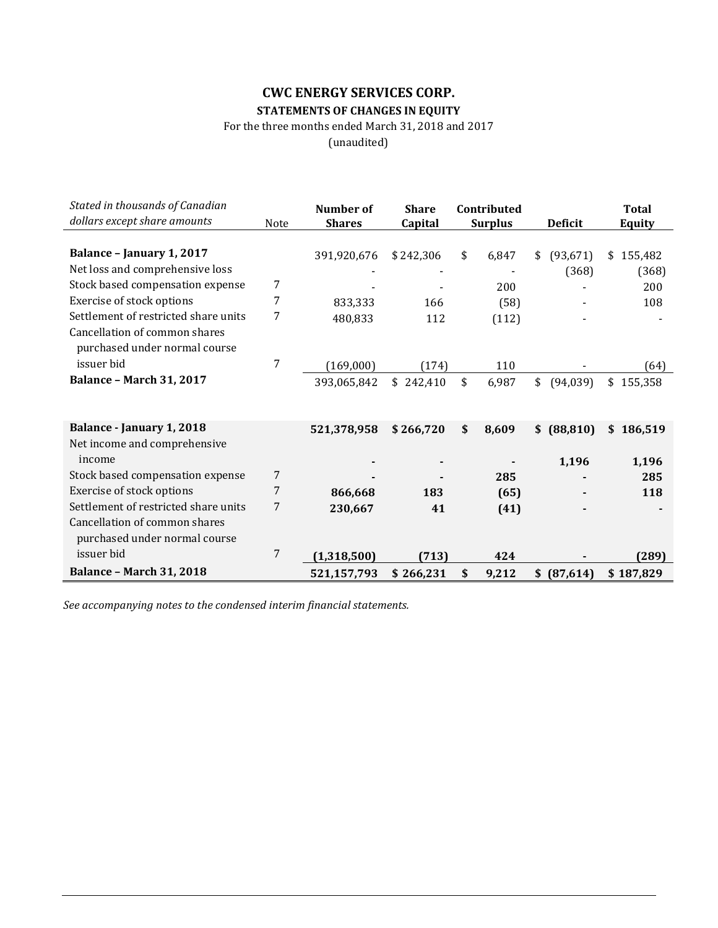## **CWC ENERGY SERVICES CORP. STATEMENTS OF CHANGES IN EQUITY**

For the three months ended March 31, 2018 and 2017

(unaudited)

| Stated in thousands of Canadian<br>dollars except share amounts | Note | Number of<br><b>Shares</b> | <b>Share</b><br>Capital | Contributed<br><b>Surplus</b> | <b>Deficit</b>  |           | <b>Total</b><br><b>Equity</b> |
|-----------------------------------------------------------------|------|----------------------------|-------------------------|-------------------------------|-----------------|-----------|-------------------------------|
|                                                                 |      |                            |                         |                               |                 |           |                               |
| Balance - January 1, 2017                                       |      | 391,920,676                | \$242,306               | \$<br>6,847                   | \$<br>(93, 671) | \$        | 155,482                       |
| Net loss and comprehensive loss                                 |      |                            |                         |                               | (368)           |           | (368)                         |
| Stock based compensation expense                                | 7    |                            |                         | 200                           |                 |           | 200                           |
| Exercise of stock options                                       | 7    | 833,333                    | 166                     | (58)                          |                 |           | 108                           |
| Settlement of restricted share units                            | 7    | 480,833                    | 112                     | (112)                         |                 |           |                               |
| Cancellation of common shares<br>purchased under normal course  |      |                            |                         |                               |                 |           |                               |
| issuer bid                                                      | 7    | (169,000)                  | (174)                   | 110                           |                 |           | (64)                          |
| <b>Balance - March 31, 2017</b>                                 |      | 393,065,842                | \$242,410               | \$<br>6,987                   | \$<br>(94, 039) | \$        | 155,358                       |
|                                                                 |      |                            |                         |                               |                 |           |                               |
| Balance - January 1, 2018                                       |      | 521,378,958                | \$266,720               | \$<br>8,609                   | \$<br>(88, 810) | \$.       | 186,519                       |
| Net income and comprehensive                                    |      |                            |                         |                               |                 |           |                               |
| income                                                          |      |                            |                         |                               | 1,196           |           | 1,196                         |
| Stock based compensation expense                                | 7    |                            |                         | 285                           |                 |           | 285                           |
| Exercise of stock options                                       | 7    | 866,668                    | 183                     | (65)                          |                 |           | 118                           |
| Settlement of restricted share units                            | 7    | 230,667                    | 41                      | (41)                          |                 |           |                               |
| Cancellation of common shares<br>purchased under normal course  |      |                            |                         |                               |                 |           |                               |
| issuer bid                                                      | 7    | (1,318,500)                | (713)                   | 424                           |                 |           | (289)                         |
| <b>Balance - March 31, 2018</b>                                 |      | 521,157,793                | \$266,231               | \$<br>9,212                   | \$<br>(87, 614) | \$187,829 |                               |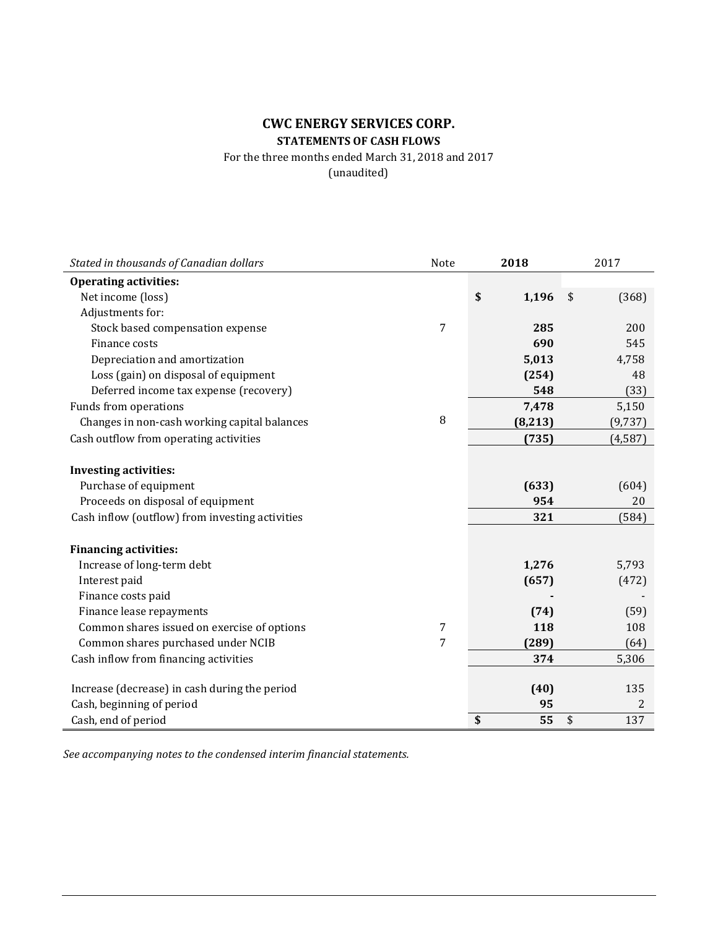## **CWC ENERGY SERVICES CORP. STATEMENTS OF CASH FLOWS**

For the three months ended March 31, 2018 and 2017 (unaudited)

**Stated in thousands of Canadian dollars 1998 2018** 2017 **Operating activities:** Net income (loss) **\$** 1,196 \$ (368) Adjustments for: Stock based compensation expense **285** 200 Finance costs **690** 545 Depreciation and amortization **5,013** 4,758<br>
Loss (gain) on disposal of equipment **1998** 48 Loss (gain) on disposal of equipment Deferred income tax expense (recovery) **548** (33) Funds from operations **7,478** 5,150<br>Changes in non-cash working canital balances **8** 68.2131 69.737 Changes in non-cash working capital balances 8 **(8,213)** (9,737) Cash outflow from operating activities **(735)** (4,587) **Investing activities:** Purchase of equipment **(633)** (604) Proceeds on disposal of equipment **954** 20 Cash inflow (outflow) from investing activities **321** (584) **Financing activities:** Increase of long-term debt **1,276** 5,793<br>Interest paid **1,276** 5,793 Interest paid **(657)** (472) Finance costs paid<br> **Finance lease repayments**(59) Finance lease repayments<br>**Common shares issued on exercise of options 1** Common shares issued on exercise of options **118** 108<br>
Common shares nurchased under NCIB 108<br>
289 (64) Common shares purchased under NCIB 7 **(289)** (64) Cash inflow from financing activities **374** 5,306 Increase (decrease) in cash during the period **(40)** 135<br>
Cash, beginning of period **(30)** 2 Cash, beginning of period Cash, end of period **\$ 55** \$ 137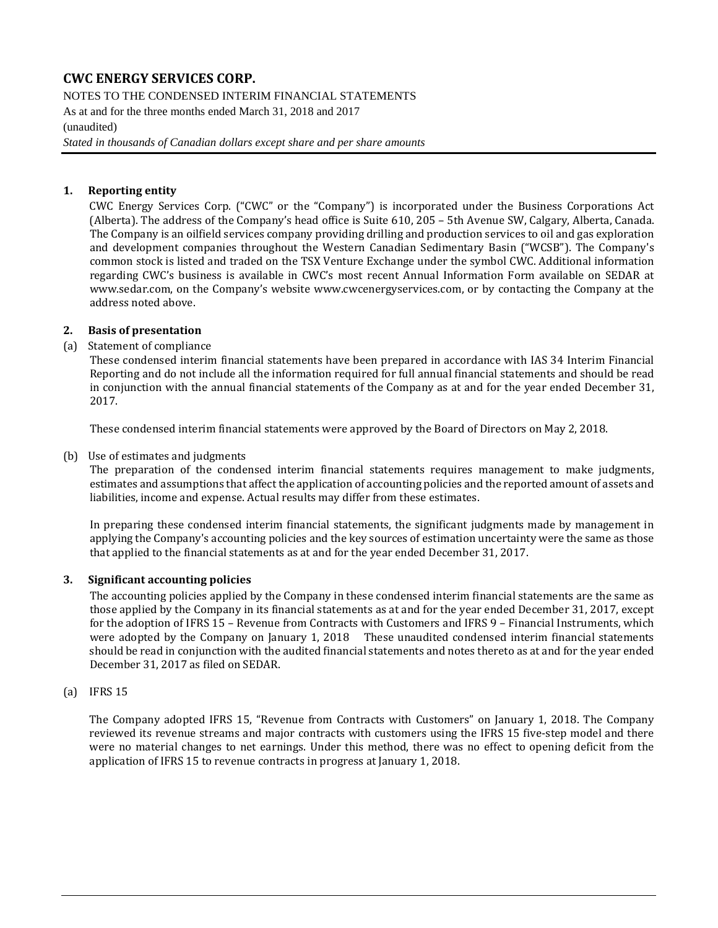NOTES TO THE CONDENSED INTERIM FINANCIAL STATEMENTS As at and for the three months ended March 31, 2018 and 2017 (unaudited)

*Stated in thousands of Canadian dollars except share and per share amounts*

#### **1. Reporting entity**

CWC Energy Services Corp. ("CWC" or the "Company") is incorporated under the Business Corporations Act (Alberta). The address of the Company's head office is Suite 610, 205 – 5th Avenue SW, Calgary, Alberta, Canada. The Company is an oilfield services company providing drilling and production services to oil and gas exploration and development companies throughout the Western Canadian Sedimentary Basin ("WCSB"). The Company's common stock is listed and traded on the TSX Venture Exchange under the symbol CWC. Additional information regarding CWC's business is available in CWC's most recent Annual Information Form available on SEDAR at [www.sedar.com,](http://www.sedar.com/) on the Company's website [www.cwcenergyservices.com,](http://www.cwcenergyservices.com/) or by contacting the Company at the address noted above.

#### **2. Basis of presentation**

#### (a) Statement of compliance

These condensed interim financial statements have been prepared in accordance with IAS 34 Interim Financial Reporting and do not include all the information required for full annual financial statements and should be read in conjunction with the annual financial statements of the Company as at and for the year ended December 31, 2017.

These condensed interim financial statements were approved by the Board of Directors on May 2, 2018.

#### (b) Use of estimates and judgments

The preparation of the condensed interim financial statements requires management to make judgments, estimates and assumptions that affect the application of accounting policies and the reported amount of assets and liabilities, income and expense. Actual results may differ from these estimates.

In preparing these condensed interim financial statements, the significant judgments made by management in applying the Company's accounting policies and the key sources of estimation uncertainty were the same as those that applied to the financial statements as at and for the year ended December 31, 2017.

#### **3. Significant accounting policies**

The accounting policies applied by the Company in these condensed interim financial statements are the same as those applied by the Company in its financial statements as at and for the year ended December 31, 2017, except for the adoption of IFRS 15 – Revenue from Contracts with Customers and IFRS 9 – Financial Instruments, which were adopted by the Company on January 1, 2018 These unaudited condensed interim financial statements should be read in conjunction with the audited financial statements and notes thereto as at and for the year ended December 31, 2017 as filed on SEDAR.

#### (a) IFRS 15

The Company adopted IFRS 15, "Revenue from Contracts with Customers" on January 1, 2018. The Company reviewed its revenue streams and major contracts with customers using the IFRS 15 five-step model and there were no material changes to net earnings. Under this method, there was no effect to opening deficit from the application of IFRS 15 to revenue contracts in progress at January 1, 2018.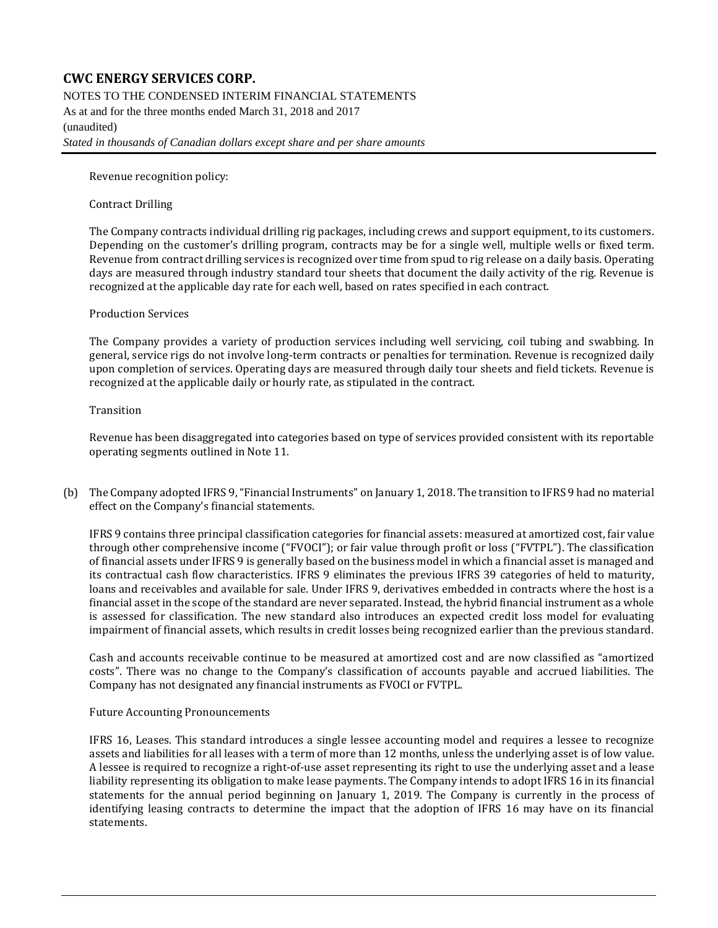NOTES TO THE CONDENSED INTERIM FINANCIAL STATEMENTS

As at and for the three months ended March 31, 2018 and 2017 (unaudited) *Stated in thousands of Canadian dollars except share and per share amounts*

Revenue recognition policy:

#### Contract Drilling

The Company contracts individual drilling rig packages, including crews and support equipment, to its customers. Depending on the customer's drilling program, contracts may be for a single well, multiple wells or fixed term. Revenue from contract drilling services is recognized over time from spud to rig release on a daily basis. Operating days are measured through industry standard tour sheets that document the daily activity of the rig. Revenue is recognized at the applicable day rate for each well, based on rates specified in each contract.

#### Production Services

The Company provides a variety of production services including well servicing, coil tubing and swabbing. In general, service rigs do not involve long-term contracts or penalties for termination. Revenue is recognized daily upon completion of services. Operating days are measured through daily tour sheets and field tickets. Revenue is recognized at the applicable daily or hourly rate, as stipulated in the contract.

#### Transition

Revenue has been disaggregated into categories based on type of services provided consistent with its reportable operating segments outlined in Note 11.

(b) The Company adopted IFRS 9, "Financial Instruments" on January 1, 2018. The transition to IFRS 9 had no material effect on the Company's financial statements.

IFRS 9 contains three principal classification categories for financial assets: measured at amortized cost, fair value through other comprehensive income ("FVOCI"); or fair value through profit or loss ("FVTPL"). The classification of financial assets under IFRS 9 is generally based on the business model in which a financial asset is managed and its contractual cash flow characteristics. IFRS 9 eliminates the previous IFRS 39 categories of held to maturity, loans and receivables and available for sale. Under IFRS 9, derivatives embedded in contracts where the host is a financial asset in the scope of the standard are never separated. Instead, the hybrid financial instrument as a whole is assessed for classification. The new standard also introduces an expected credit loss model for evaluating impairment of financial assets, which results in credit losses being recognized earlier than the previous standard.

Cash and accounts receivable continue to be measured at amortized cost and are now classified as "amortized costs". There was no change to the Company's classification of accounts payable and accrued liabilities. The Company has not designated any financial instruments as FVOCI or FVTPL.

#### Future Accounting Pronouncements

IFRS 16, Leases. This standard introduces a single lessee accounting model and requires a lessee to recognize assets and liabilities for all leases with a term of more than 12 months, unless the underlying asset is of low value. A lessee is required to recognize a right-of-use asset representing its right to use the underlying asset and a lease liability representing its obligation to make lease payments. The Company intends to adopt IFRS 16 in its financial statements for the annual period beginning on January 1, 2019. The Company is currently in the process of identifying leasing contracts to determine the impact that the adoption of IFRS 16 may have on its financial statements.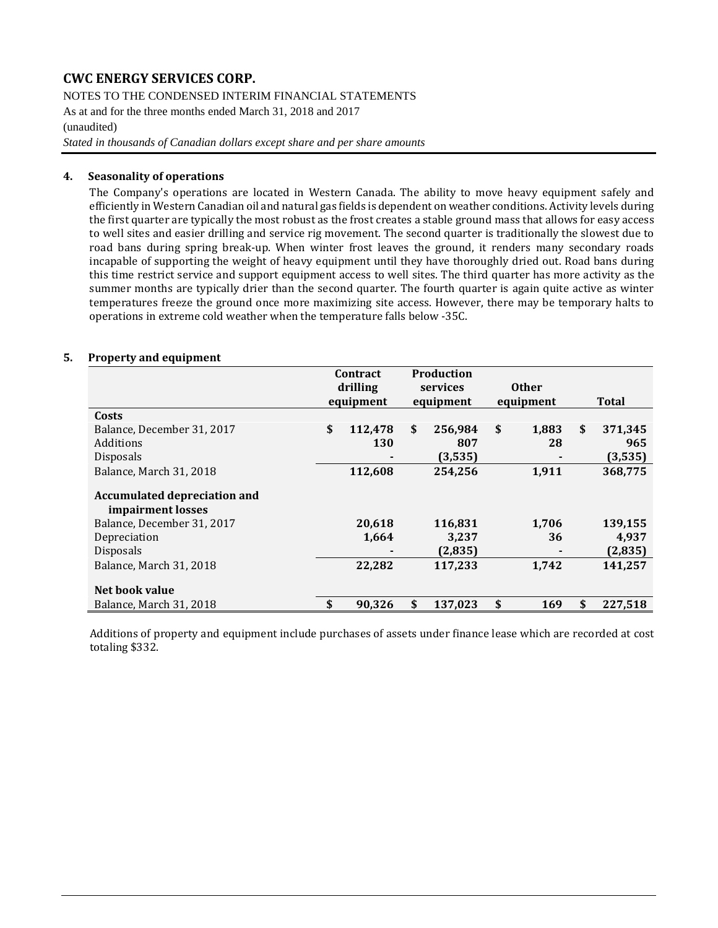NOTES TO THE CONDENSED INTERIM FINANCIAL STATEMENTS

As at and for the three months ended March 31, 2018 and 2017

(unaudited)

*Stated in thousands of Canadian dollars except share and per share amounts*

#### **4. Seasonality of operations**

The Company's operations are located in Western Canada. The ability to move heavy equipment safely and efficiently in Western Canadian oil and natural gas fields is dependent on weather conditions. Activity levels during the first quarter are typically the most robust as the frost creates a stable ground mass that allows for easy access to well sites and easier drilling and service rig movement. The second quarter is traditionally the slowest due to road bans during spring break-up. When winter frost leaves the ground, it renders many secondary roads incapable of supporting the weight of heavy equipment until they have thoroughly dried out. Road bans during this time restrict service and support equipment access to well sites. The third quarter has more activity as the summer months are typically drier than the second quarter. The fourth quarter is again quite active as winter temperatures freeze the ground once more maximizing site access. However, there may be temporary halts to operations in extreme cold weather when the temperature falls below -35C.

#### **5. Property and equipment**

|                                                          | Contract |           | <b>Production</b> |           |           |                |               |
|----------------------------------------------------------|----------|-----------|-------------------|-----------|-----------|----------------|---------------|
|                                                          | drilling |           | services          |           |           | <b>Other</b>   |               |
|                                                          |          | equipment |                   | equipment | equipment |                | <b>Total</b>  |
| Costs                                                    |          |           |                   |           |           |                |               |
| Balance, December 31, 2017                               | \$       | 112,478   | \$                | 256,984   | \$        | 1,883          | \$<br>371,345 |
| Additions                                                |          | 130       |                   | 807       |           | 28             | 965           |
| <b>Disposals</b>                                         |          |           |                   | (3,535)   |           |                | (3,535)       |
| Balance, March 31, 2018                                  |          | 112,608   |                   | 254,256   |           | 1,911          | 368,775       |
| <b>Accumulated depreciation and</b><br>impairment losses |          |           |                   |           |           |                |               |
| Balance, December 31, 2017                               |          | 20,618    |                   | 116,831   |           | 1,706          | 139,155       |
| Depreciation                                             |          | 1,664     |                   | 3,237     |           | 36             | 4,937         |
| <b>Disposals</b>                                         |          |           |                   | (2,835)   |           | $\blacksquare$ | (2,835)       |
| Balance, March 31, 2018                                  |          | 22,282    |                   | 117,233   |           | 1,742          | 141,257       |
| Net book value                                           |          |           |                   |           |           |                |               |
| Balance, March 31, 2018                                  | \$       | 90,326    | \$                | 137,023   | \$        | 169            | \$<br>227.518 |

Additions of property and equipment include purchases of assets under finance lease which are recorded at cost totaling \$332.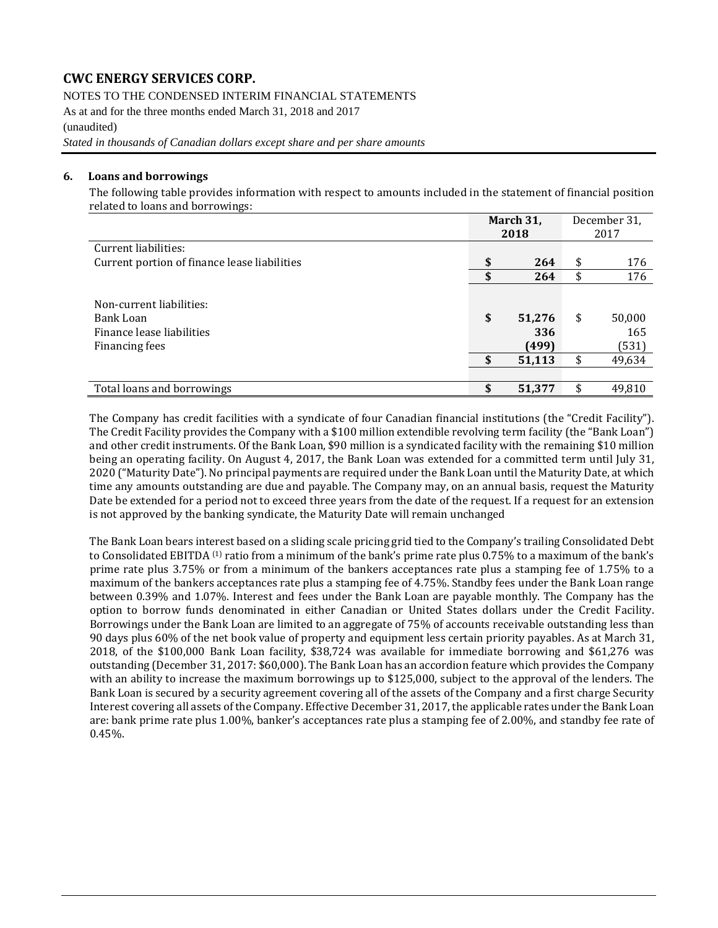#### NOTES TO THE CONDENSED INTERIM FINANCIAL STATEMENTS

As at and for the three months ended March 31, 2018 and 2017 (unaudited)

*Stated in thousands of Canadian dollars except share and per share amounts*

#### **6. Loans and borrowings**

The following table provides information with respect to amounts included in the statement of financial position related to loans and borrowings:

|                                                                                      |          | March 31,<br>2018                | December 31,<br>2017 |                                  |
|--------------------------------------------------------------------------------------|----------|----------------------------------|----------------------|----------------------------------|
| Current liabilities:                                                                 |          |                                  |                      |                                  |
| Current portion of finance lease liabilities                                         | \$       | 264                              | \$                   | 176                              |
|                                                                                      | \$       | 264                              | \$                   | 176                              |
| Non-current liabilities:<br>Bank Loan<br>Finance lease liabilities<br>Financing fees | \$<br>\$ | 51,276<br>336<br>(499)<br>51,113 | \$<br>\$             | 50,000<br>165<br>(531)<br>49,634 |
| Total loans and borrowings                                                           | \$       | 51,377                           |                      | 49,810                           |

The Company has credit facilities with a syndicate of four Canadian financial institutions (the "Credit Facility"). The Credit Facility provides the Company with a \$100 million extendible revolving term facility (the "Bank Loan") and other credit instruments. Of the Bank Loan, \$90 million is a syndicated facility with the remaining \$10 million being an operating facility. On August 4, 2017, the Bank Loan was extended for a committed term until July 31, 2020 ("Maturity Date"). No principal payments are required under the Bank Loan until the Maturity Date, at which time any amounts outstanding are due and payable. The Company may, on an annual basis, request the Maturity Date be extended for a period not to exceed three years from the date of the request. If a request for an extension is not approved by the banking syndicate, the Maturity Date will remain unchanged

The Bank Loan bears interest based on a sliding scale pricing grid tied to the Company's trailing Consolidated Debt to Consolidated EBITDA <sup>(1)</sup> ratio from a minimum of the bank's prime rate plus 0.75% to a maximum of the bank's prime rate plus 3.75% or from a minimum of the bankers acceptances rate plus a stamping fee of 1.75% to a maximum of the bankers acceptances rate plus a stamping fee of 4.75%. Standby fees under the Bank Loan range between 0.39% and 1.07%. Interest and fees under the Bank Loan are payable monthly. The Company has the option to borrow funds denominated in either Canadian or United States dollars under the Credit Facility. Borrowings under the Bank Loan are limited to an aggregate of 75% of accounts receivable outstanding less than 90 days plus 60% of the net book value of property and equipment less certain priority payables. As at March 31, 2018, of the \$100,000 Bank Loan facility, \$38,724 was available for immediate borrowing and \$61,276 was outstanding (December 31, 2017: \$60,000). The Bank Loan has an accordion feature which provides the Company with an ability to increase the maximum borrowings up to \$125,000, subject to the approval of the lenders. The Bank Loan is secured by a security agreement covering all of the assets of the Company and a first charge Security Interest covering all assets of the Company. Effective December 31, 2017, the applicable rates under the Bank Loan are: bank prime rate plus 1.00%, banker's acceptances rate plus a stamping fee of 2.00%, and standby fee rate of 0.45%.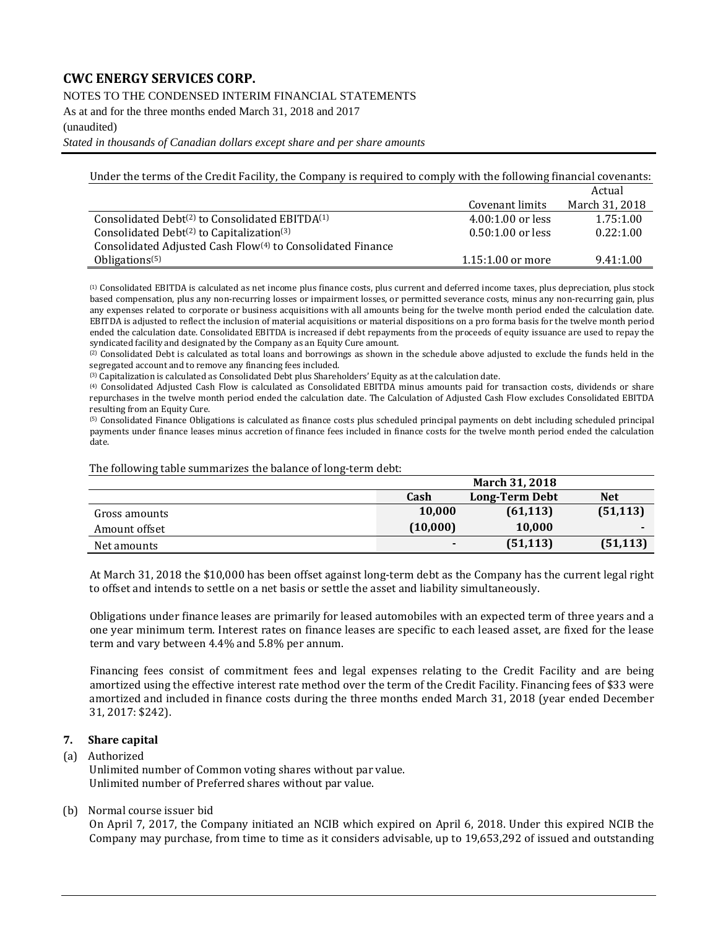NOTES TO THE CONDENSED INTERIM FINANCIAL STATEMENTS

As at and for the three months ended March 31, 2018 and 2017

(unaudited)

*Stated in thousands of Canadian dollars except share and per share amounts*

Under the terms of the Credit Facility, the Company is required to comply with the following financial covenants:

|                                                                        |                     | Actual         |
|------------------------------------------------------------------------|---------------------|----------------|
|                                                                        | Covenant limits     | March 31, 2018 |
| Consolidated Debt <sup>(2)</sup> to Consolidated EBITDA <sup>(1)</sup> | $4.00:1.00$ or less | 1.75:1.00      |
| Consolidated Debt $(2)$ to Capitalization $(3)$                        | $0.50:1.00$ or less | 0.22:1.00      |
| Consolidated Adjusted Cash Flow <sup>(4)</sup> to Consolidated Finance |                     |                |
| Obligations <sup><math>(5)</math></sup>                                | $1.15:1.00$ or more | 9.41:1.00      |

(1) Consolidated EBITDA is calculated as net income plus finance costs, plus current and deferred income taxes, plus depreciation, plus stock based compensation, plus any non-recurring losses or impairment losses, or permitted severance costs, minus any non-recurring gain, plus any expenses related to corporate or business acquisitions with all amounts being for the twelve month period ended the calculation date. EBITDA is adjusted to reflect the inclusion of material acquisitions or material dispositions on a pro forma basis for the twelve month period ended the calculation date. Consolidated EBITDA is increased if debt repayments from the proceeds of equity issuance are used to repay the syndicated facility and designated by the Company as an Equity Cure amount.

(2) Consolidated Debt is calculated as total loans and borrowings as shown in the schedule above adjusted to exclude the funds held in the segregated account and to remove any financing fees included.

(3) Capitalization is calculated as Consolidated Debt plus Shareholders' Equity as at the calculation date.

(4) Consolidated Adjusted Cash Flow is calculated as Consolidated EBITDA minus amounts paid for transaction costs, dividends or share repurchases in the twelve month period ended the calculation date. The Calculation of Adjusted Cash Flow excludes Consolidated EBITDA resulting from an Equity Cure.

(5) Consolidated Finance Obligations is calculated as finance costs plus scheduled principal payments on debt including scheduled principal payments under finance leases minus accretion of finance fees included in finance costs for the twelve month period ended the calculation date.

The following table summarizes the balance of long-term debt:

|               |                | <b>March 31, 2018</b> |            |
|---------------|----------------|-----------------------|------------|
|               | Cash           | Long-Term Debt        | <b>Net</b> |
| Gross amounts | 10.000         | (61, 113)             | (51, 113)  |
| Amount offset | (10,000)       | 10.000                |            |
| Net amounts   | $\blacksquare$ | (51, 113)             | (51, 113)  |

At March 31, 2018 the \$10,000 has been offset against long-term debt as the Company has the current legal right to offset and intends to settle on a net basis or settle the asset and liability simultaneously.

Obligations under finance leases are primarily for leased automobiles with an expected term of three years and a one year minimum term. Interest rates on finance leases are specific to each leased asset, are fixed for the lease term and vary between 4.4% and 5.8% per annum.

Financing fees consist of commitment fees and legal expenses relating to the Credit Facility and are being amortized using the effective interest rate method over the term of the Credit Facility. Financing fees of \$33 were amortized and included in finance costs during the three months ended March 31, 2018 (year ended December 31, 2017: \$242).

#### **7. Share capital**

(a) Authorized

Unlimited number of Common voting shares without par value. Unlimited number of Preferred shares without par value.

(b) Normal course issuer bid

On April 7, 2017, the Company initiated an NCIB which expired on April 6, 2018. Under this expired NCIB the Company may purchase, from time to time as it considers advisable, up to 19,653,292 of issued and outstanding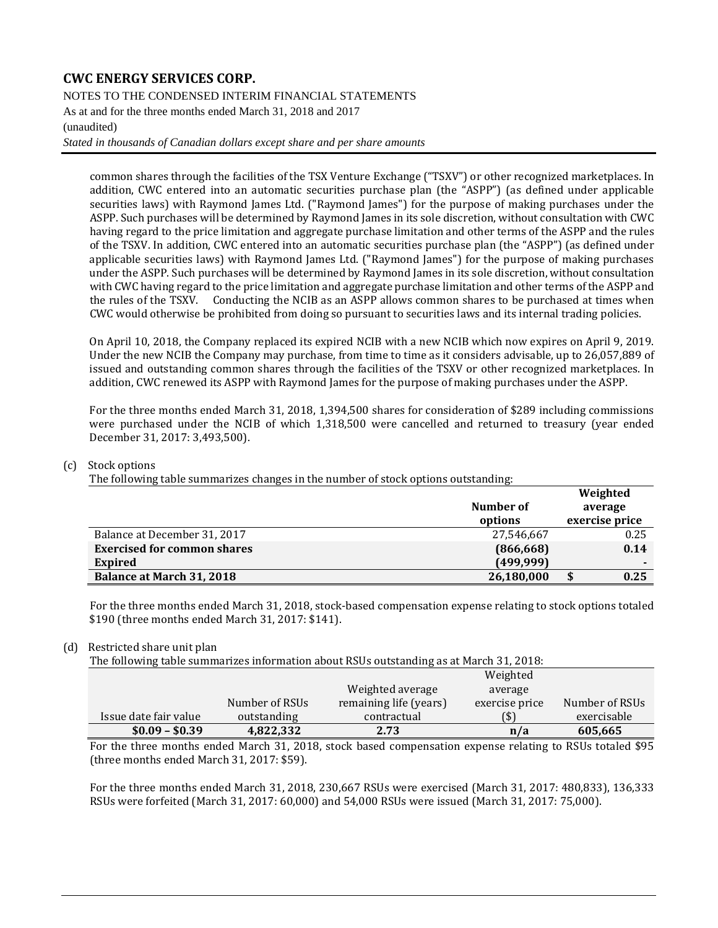#### NOTES TO THE CONDENSED INTERIM FINANCIAL STATEMENTS

As at and for the three months ended March 31, 2018 and 2017

#### (unaudited)

*Stated in thousands of Canadian dollars except share and per share amounts*

common shares through the facilities of the TSX Venture Exchange ("TSXV") or other recognized marketplaces. In addition, CWC entered into an automatic securities purchase plan (the "ASPP") (as defined under applicable securities laws) with Raymond James Ltd. ("Raymond James") for the purpose of making purchases under the ASPP. Such purchases will be determined by Raymond James in its sole discretion, without consultation with CWC having regard to the price limitation and aggregate purchase limitation and other terms of the ASPP and the rules of the TSXV. In addition, CWC entered into an automatic securities purchase plan (the "ASPP") (as defined under applicable securities laws) with Raymond James Ltd. ("Raymond James") for the purpose of making purchases under the ASPP. Such purchases will be determined by Raymond James in its sole discretion, without consultation with CWC having regard to the price limitation and aggregate purchase limitation and other terms of the ASPP and the rules of the TSXV. Conducting the NCIB as an ASPP allows common shares to be purchased at times when CWC would otherwise be prohibited from doing so pursuant to securities laws and its internal trading policies.

On April 10, 2018, the Company replaced its expired NCIB with a new NCIB which now expires on April 9, 2019. Under the new NCIB the Company may purchase, from time to time as it considers advisable, up to 26,057,889 of issued and outstanding common shares through the facilities of the TSXV or other recognized marketplaces. In addition, CWC renewed its ASPP with Raymond James for the purpose of making purchases under the ASPP.

For the three months ended March 31, 2018, 1,394,500 shares for consideration of \$289 including commissions were purchased under the NCIB of which 1,318,500 were cancelled and returned to treasury (year ended December 31, 2017: 3,493,500).

#### (c) Stock options

The following table summarizes changes in the number of stock options outstanding:

|                                    |            | Weighted       |
|------------------------------------|------------|----------------|
|                                    | Number of  | average        |
|                                    | options    | exercise price |
| Balance at December 31, 2017       | 27,546,667 | 0.25           |
| <b>Exercised for common shares</b> | (866, 668) | 0.14           |
| <b>Expired</b>                     | (499, 999) | ۰              |
| Balance at March 31, 2018          | 26,180,000 | 0.25           |
|                                    |            |                |

For the three months ended March 31, 2018, stock-based compensation expense relating to stock options totaled \$190 (three months ended March 31, 2017: \$141).

#### (d) Restricted share unit plan

The following table summarizes information about RSUs outstanding as at March 31, 2018:

| $$0.09 - $0.39$       | 4,822,332      | 2.73                   | n/a            | 605,665        |
|-----------------------|----------------|------------------------|----------------|----------------|
| Issue date fair value | outstanding    | contractual            | (\$)           | exercisable    |
|                       | Number of RSUs | remaining life (years) | exercise price | Number of RSUs |
|                       |                | Weighted average       | average        |                |
|                       |                |                        | Weighted       |                |

For the three months ended March 31, 2018, stock based compensation expense relating to RSUs totaled \$95 (three months ended March 31, 2017: \$59).

For the three months ended March 31, 2018, 230,667 RSUs were exercised (March 31, 2017: 480,833), 136,333 RSUs were forfeited (March 31, 2017: 60,000) and 54,000 RSUs were issued (March 31, 2017: 75,000).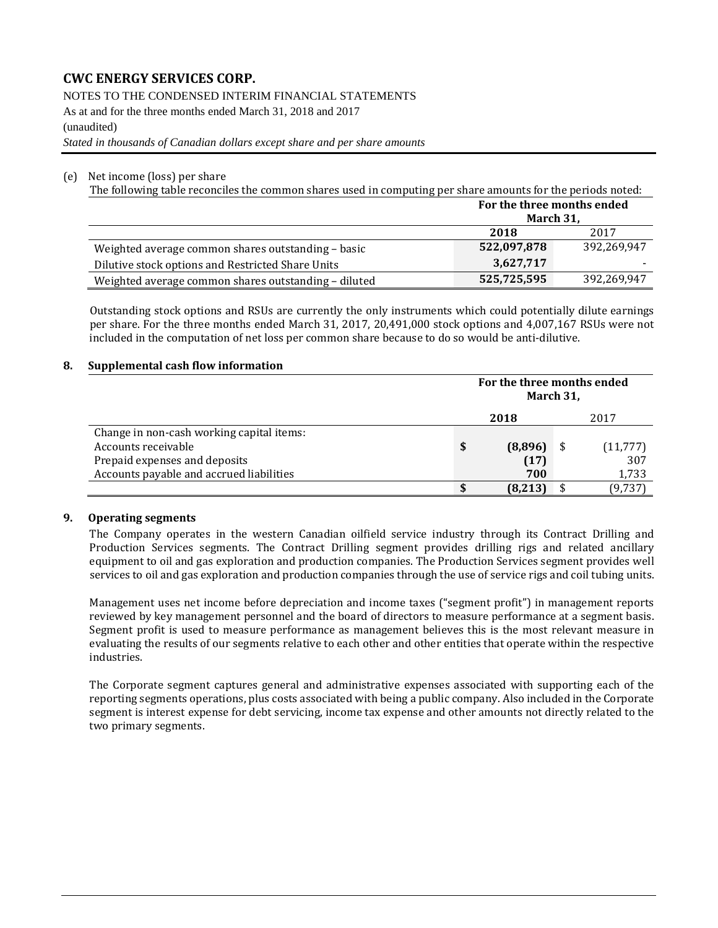NOTES TO THE CONDENSED INTERIM FINANCIAL STATEMENTS

As at and for the three months ended March 31, 2018 and 2017 (unaudited)

*Stated in thousands of Canadian dollars except share and per share amounts*

#### (e) Net income (loss) per share

The following table reconciles the common shares used in computing per share amounts for the periods noted:

|                                                      |             | For the three months ended<br>March 31, |  |  |  |
|------------------------------------------------------|-------------|-----------------------------------------|--|--|--|
|                                                      | 2018        | 2017                                    |  |  |  |
| Weighted average common shares outstanding - basic   | 522,097,878 | 392.269.947                             |  |  |  |
| Dilutive stock options and Restricted Share Units    | 3,627,717   |                                         |  |  |  |
| Weighted average common shares outstanding - diluted | 525,725,595 | 392,269,947                             |  |  |  |

Outstanding stock options and RSUs are currently the only instruments which could potentially dilute earnings per share. For the three months ended March 31, 2017, 20,491,000 stock options and 4,007,167 RSUs were not included in the computation of net loss per common share because to do so would be anti-dilutive.

#### **8. Supplemental cash flow information**

|                                           |      | For the three months ended<br>March 31, |  |           |  |  |
|-------------------------------------------|------|-----------------------------------------|--|-----------|--|--|
|                                           | 2018 |                                         |  | 2017      |  |  |
| Change in non-cash working capital items: |      |                                         |  |           |  |  |
| Accounts receivable                       |      | (8,896)                                 |  | (11, 777) |  |  |
| Prepaid expenses and deposits             |      | (17)                                    |  | 307       |  |  |
| Accounts payable and accrued liabilities  |      | 700                                     |  | 1,733     |  |  |
|                                           |      | (8,213)                                 |  | (9,737    |  |  |

#### **9. Operating segments**

The Company operates in the western Canadian oilfield service industry through its Contract Drilling and Production Services segments. The Contract Drilling segment provides drilling rigs and related ancillary equipment to oil and gas exploration and production companies. The Production Services segment provides well services to oil and gas exploration and production companies through the use of service rigs and coil tubing units.

Management uses net income before depreciation and income taxes ("segment profit") in management reports reviewed by key management personnel and the board of directors to measure performance at a segment basis. Segment profit is used to measure performance as management believes this is the most relevant measure in evaluating the results of our segments relative to each other and other entities that operate within the respective industries.

The Corporate segment captures general and administrative expenses associated with supporting each of the reporting segments operations, plus costs associated with being a public company. Also included in the Corporate segment is interest expense for debt servicing, income tax expense and other amounts not directly related to the two primary segments.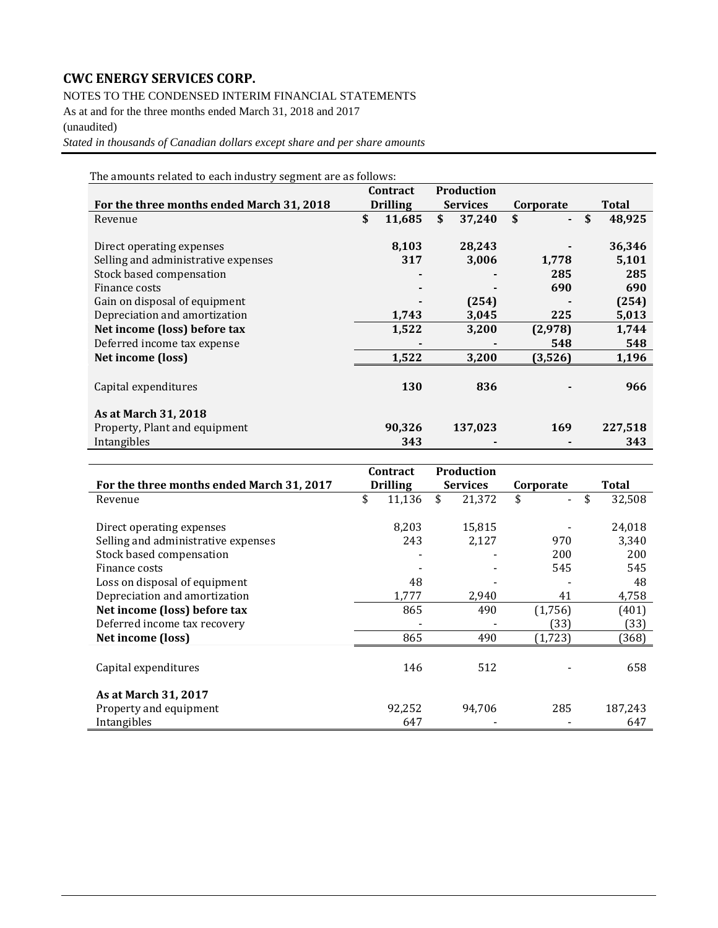NOTES TO THE CONDENSED INTERIM FINANCIAL STATEMENTS

As at and for the three months ended March 31, 2018 and 2017

(unaudited)

*Stated in thousands of Canadian dollars except share and per share amounts*

The amounts related to each industry segment are as follows:

|                                           | Contract |                 | <b>Production</b> |         |           |              |
|-------------------------------------------|----------|-----------------|-------------------|---------|-----------|--------------|
| For the three months ended March 31, 2018 |          | <b>Drilling</b> | <b>Services</b>   |         | Corporate | Total        |
| Revenue                                   | \$       | 11,685          | \$                | 37,240  | \$        | \$<br>48,925 |
|                                           |          |                 |                   |         |           |              |
| Direct operating expenses                 |          | 8,103           |                   | 28,243  |           | 36,346       |
| Selling and administrative expenses       |          | 317             |                   | 3,006   | 1,778     | 5,101        |
| Stock based compensation                  |          |                 |                   |         | 285       | 285          |
| Finance costs                             |          |                 |                   |         | 690       | 690          |
| Gain on disposal of equipment             |          |                 |                   | (254)   |           | (254)        |
| Depreciation and amortization             |          | 1,743           |                   | 3,045   | 225       | 5,013        |
| Net income (loss) before tax              |          | 1,522           |                   | 3,200   | (2,978)   | 1,744        |
| Deferred income tax expense               |          |                 |                   |         | 548       | 548          |
| Net income (loss)                         |          | 1,522           |                   | 3,200   | (3,526)   | 1,196        |
|                                           |          |                 |                   |         |           |              |
| Capital expenditures                      |          | 130             |                   | 836     |           | 966          |
|                                           |          |                 |                   |         |           |              |
| As at March 31, 2018                      |          |                 |                   |         |           |              |
| Property, Plant and equipment             |          | 90,326          |                   | 137,023 | 169       | 227,518      |
| Intangibles                               |          | 343             |                   |         |           | 343          |

|                                           | Contract        | <b>Production</b> |           |              |
|-------------------------------------------|-----------------|-------------------|-----------|--------------|
| For the three months ended March 31, 2017 | <b>Drilling</b> | <b>Services</b>   | Corporate | <b>Total</b> |
| Revenue                                   | \$<br>11,136    | \$<br>21,372      | \$        | \$<br>32,508 |
|                                           |                 |                   |           |              |
| Direct operating expenses                 | 8,203           | 15,815            |           | 24,018       |
| Selling and administrative expenses       | 243             | 2,127             | 970       | 3,340        |
| Stock based compensation                  |                 |                   | 200       | 200          |
| Finance costs                             |                 |                   | 545       | 545          |
| Loss on disposal of equipment             | 48              |                   |           | 48           |
| Depreciation and amortization             | 1,777           | 2,940             | 41        | 4,758        |
| Net income (loss) before tax              | 865             | 490               | (1,756)   | (401)        |
| Deferred income tax recovery              |                 |                   | (33)      | (33)         |
| Net income (loss)                         | 865             | 490               | (1, 723)  | (368)        |
|                                           |                 |                   |           |              |
| Capital expenditures                      | 146             | 512               |           | 658          |
|                                           |                 |                   |           |              |
| <b>As at March 31, 2017</b>               |                 |                   |           |              |
| Property and equipment                    | 92,252          | 94,706            | 285       | 187,243      |
| Intangibles                               | 647             |                   |           | 647          |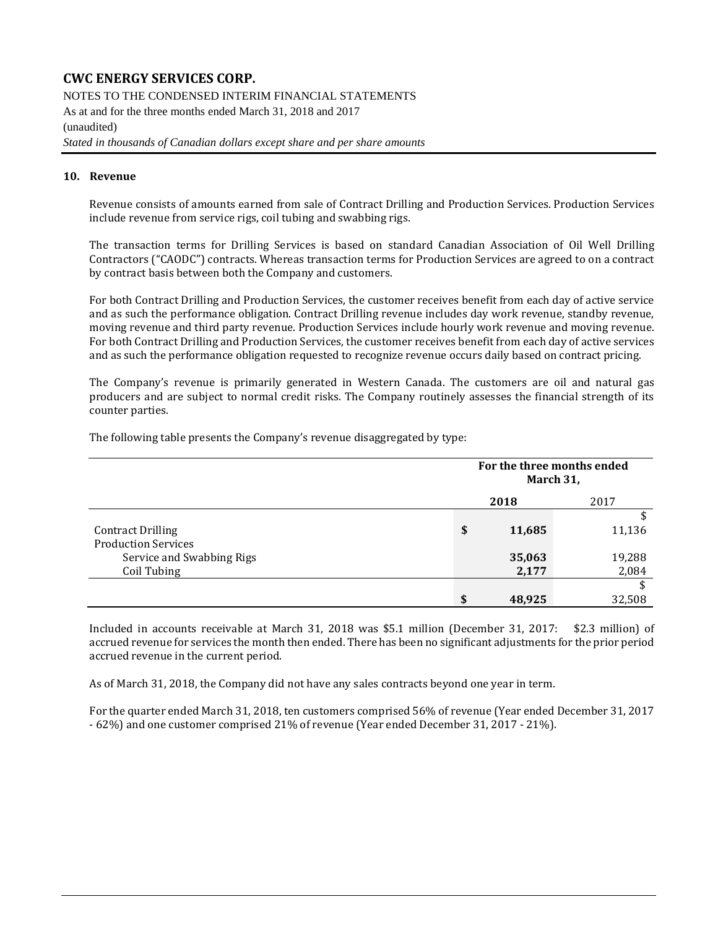NOTES TO THE CONDENSED INTERIM FINANCIAL STATEMENTS As at and for the three months ended March 31, 2018 and 2017 (unaudited)

*Stated in thousands of Canadian dollars except share and per share amounts*

#### **10. Revenue**

Revenue consists of amounts earned from sale of Contract Drilling and Production Services. Production Services include revenue from service rigs, coil tubing and swabbing rigs.

The transaction terms for Drilling Services is based on standard Canadian Association of Oil Well Drilling Contractors ("CAODC") contracts. Whereas transaction terms for Production Services are agreed to on a contract by contract basis between both the Company and customers.

For both Contract Drilling and Production Services, the customer receives benefit from each day of active service and as such the performance obligation. Contract Drilling revenue includes day work revenue, standby revenue, moving revenue and third party revenue. Production Services include hourly work revenue and moving revenue. For both Contract Drilling and Production Services, the customer receives benefit from each day of active services and as such the performance obligation requested to recognize revenue occurs daily based on contract pricing.

The Company's revenue is primarily generated in Western Canada. The customers are oil and natural gas producers and are subject to normal credit risks. The Company routinely assesses the financial strength of its counter parties.

The following table presents the Company's revenue disaggregated by type:

|                            | For the three months ended<br>March 31, |        |        |  |
|----------------------------|-----------------------------------------|--------|--------|--|
|                            |                                         | 2018   | 2017   |  |
|                            |                                         |        | \$     |  |
| <b>Contract Drilling</b>   | \$                                      | 11,685 | 11,136 |  |
| <b>Production Services</b> |                                         |        |        |  |
| Service and Swabbing Rigs  |                                         | 35,063 | 19,288 |  |
| Coil Tubing                |                                         | 2,177  | 2,084  |  |
|                            |                                         |        | \$     |  |
|                            | \$                                      | 48,925 | 32,508 |  |

Included in accounts receivable at March 31, 2018 was \$5.1 million (December 31, 2017: \$2.3 million) of accrued revenue for services the month then ended. There has been no significant adjustments for the prior period accrued revenue in the current period.

As of March 31, 2018, the Company did not have any sales contracts beyond one year in term.

For the quarter ended March 31, 2018, ten customers comprised 56% of revenue (Year ended December 31, 2017 - 62%) and one customer comprised 21% of revenue (Year ended December 31, 2017 - 21%).